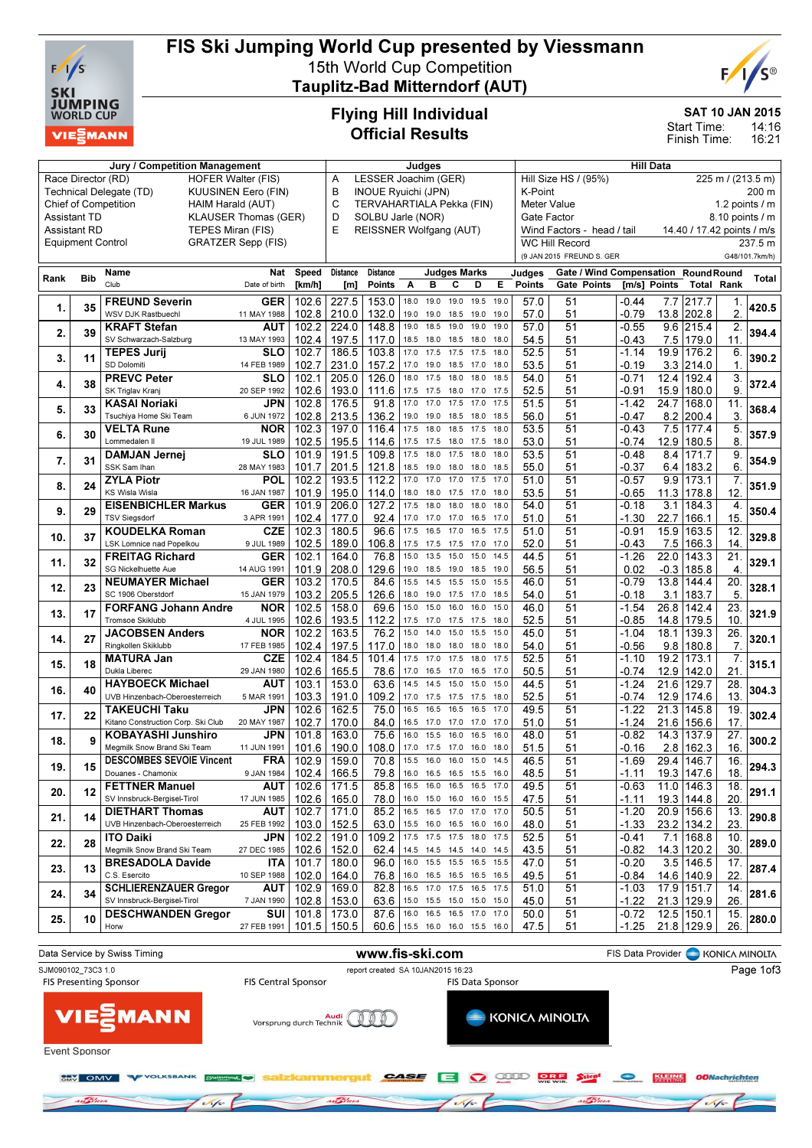

## FIS Ski Jumping World Cup presented by Viessmann 15th World Cup Competition

Tauplitz-Bad Mitterndorf (AUT)



SAT 10 JAN 2015

14:16 16:21 Start Time: Finish Time:

# Flying Hill Individual Official Results

| Jury / Competition Management                      |                          |                                                       |                           |                                                                                                                    |                 | Judges                                                                              |      |                                           |                     |      |      | <b>Hill Data</b>        |                           |                                     |              |                   |                 |                |
|----------------------------------------------------|--------------------------|-------------------------------------------------------|---------------------------|--------------------------------------------------------------------------------------------------------------------|-----------------|-------------------------------------------------------------------------------------|------|-------------------------------------------|---------------------|------|------|-------------------------|---------------------------|-------------------------------------|--------------|-------------------|-----------------|----------------|
|                                                    | Race Director (RD)       | <b>HOFER Walter (FIS)</b>                             | LESSER Joachim (GER)<br>A |                                                                                                                    |                 |                                                                                     |      | Hill Size HS / (95%)<br>225 m / (213.5 m) |                     |      |      |                         |                           |                                     |              |                   |                 |                |
|                                                    |                          | Technical Delegate (TD)<br><b>KUUSINEN Eero (FIN)</b> | B                         | <b>INOUE Ryuichi (JPN)</b><br>K-Point<br><b>Meter Value</b><br><b>TERVAHARTIALA Pekka (FIN)</b><br>1.2 points $/m$ |                 |                                                                                     |      |                                           |                     |      |      |                         |                           | 200 m                               |              |                   |                 |                |
|                                                    |                          | <b>Chief of Competition</b><br>HAIM Harald (AUT)      | C                         |                                                                                                                    |                 |                                                                                     |      |                                           |                     |      |      |                         |                           |                                     |              |                   |                 |                |
| <b>Assistant TD</b><br><b>KLAUSER Thomas (GER)</b> |                          |                                                       |                           |                                                                                                                    |                 | SOLBU Jarle (NOR)<br>Gate Factor                                                    |      |                                           |                     |      |      |                         |                           |                                     |              | 8.10 points / m   |                 |                |
|                                                    | <b>Assistant RD</b>      | TEPES Miran (FIS)                                     |                           |                                                                                                                    | E               | REISSNER Wolfgang (AUT)<br>Wind Factors - head / tail<br>14.40 / 17.42 points / m/s |      |                                           |                     |      |      |                         |                           |                                     |              |                   |                 |                |
|                                                    | <b>Equipment Control</b> |                                                       | GRATZER Sepp (FIS)        |                                                                                                                    |                 |                                                                                     |      |                                           |                     |      |      |                         | <b>WC Hill Record</b>     |                                     |              |                   |                 | 237.5 m        |
|                                                    |                          |                                                       |                           |                                                                                                                    |                 |                                                                                     |      |                                           |                     |      |      |                         | (9 JAN 2015 FREUND S. GER |                                     |              |                   |                 | G48/101.7km/h) |
|                                                    |                          | Name                                                  | Nat                       | <b>Speed</b>                                                                                                       | Distance        | <b>Distance</b>                                                                     |      |                                           | <b>Judges Marks</b> |      |      |                         |                           | Gate / Wind Compensation RoundRound |              |                   |                 |                |
| Rank                                               | <b>Bib</b>               | Club                                                  | Date of birth             | [km/h]                                                                                                             | [m]             | <b>Points</b>                                                                       | Α    | в                                         | С                   | D    | Е    | Judges<br><b>Points</b> | Gate Points               |                                     | [m/s] Points | <b>Total Rank</b> |                 | Total          |
|                                                    |                          |                                                       |                           |                                                                                                                    |                 |                                                                                     |      |                                           |                     |      |      |                         |                           |                                     |              |                   |                 |                |
| 1.                                                 | 35                       | <b>FREUND Severin</b>                                 | GER                       | 102.6                                                                                                              | 227.5           | 153.0                                                                               | 18.0 | 19.0                                      | 19.0                | 19.5 | 19.0 | 57.0                    | 51                        | -0.44                               | 7.7          | 217.7             | 1.              | 420.5          |
|                                                    |                          | WSV DJK Rastbuechl                                    | 11 MAY 1988               | 102.8                                                                                                              | 210.0           | 132.0                                                                               | 19.0 | 19.0                                      | 18.5                | 19.0 | 19.0 | 57.0                    | 51                        | $-0.79$                             |              | 13.8 202.8        | 2.              |                |
| 2.                                                 | 39                       | <b>KRAFT Stefan</b>                                   | AUT                       | 102.2                                                                                                              | 224.0           | 148.8                                                                               | 19.0 | 18.5                                      | 19.0                | 19.0 | 19.0 | 57.0                    | 51                        | -0.55                               |              | 9.6 215.4         | 2.              | 394.4          |
|                                                    |                          | SV Schwarzach-Salzburg                                | 13 MAY 1993               | 102.4                                                                                                              | 197.5           | 117.0                                                                               |      | 18.5 18.0                                 | 18.5                | 18.0 | 18.0 | 54.5                    | 51                        | -0.43                               | 7.5          | 179.0             | 11.             |                |
| 3.                                                 | 11                       | <b>TEPES Jurij</b>                                    | <b>SLO</b>                | 102.7                                                                                                              | 186.5           | 103.8                                                                               | 17.0 | 17.5                                      | 17.5                | 17.5 | 18.0 | 52.5                    | 51                        | $-1.14$                             | 19.9         | 176.2             | 6.              | 390.2          |
|                                                    |                          | SD Dolomiti                                           | 14 FEB 1989               | 102.7                                                                                                              | 231.0           | 157.2                                                                               | 17.0 | 19.0                                      | 18.5                | 17.0 | 18.0 | 53.5                    | 51                        | -0.19                               |              | $3.3$ 214.0       | $\mathbf{1}$ .  |                |
| 4.                                                 | 38                       | <b>PREVC Peter</b>                                    | SLO                       | 102.1                                                                                                              | 205.0           | 126.0                                                                               | 18.0 | 17.5                                      | 18.0                | 18.0 | 18.5 | 54.0                    | 51                        | $-0.71$                             | 12.4         | 192.4             | 3.              | 372.4          |
|                                                    |                          | SK Triglav Kranj                                      | 20 SEP 1992               | 102.6                                                                                                              | 193.0           | 111.6                                                                               |      | 17.5 17.5                                 | 18.0 17.0           |      | 17.5 | 52.5                    | 51                        | -0.91                               |              | 15.9 180.0        | 9               |                |
| 5.                                                 | 33                       | KASAI Noriaki                                         | JPN                       | 102.8                                                                                                              | 176.5           | 91.8                                                                                | 17.0 | 17.0                                      | 17.5                | 17.0 | 17.5 | 51.5                    | 51                        | $-1.42$                             | 24.7         | 168.0             | 11.             | 368.4          |
|                                                    |                          | Tsuchiya Home Ski Team                                | 6 JUN 1972                | 102.8                                                                                                              | 213.5           | 136.2                                                                               | 19.0 | 19.0                                      | 18.5                | 18.0 | 18.5 | 56.0                    | 51                        | -0.47                               |              | 8.2 200.4         | 3.              |                |
|                                                    | 30                       | <b>VELTA Rune</b>                                     | NOR                       | 102.3                                                                                                              | 197.0           | 116.4                                                                               | 17.5 | 18.0                                      | 18.5                | 17.5 | 18.0 | 53.5                    | 51                        | $-0.43$                             | 7.5          | 177.4             | 5.              | 357.9          |
| 6.                                                 |                          | Lommedalen II                                         | 19 JUL 1989               | 102.5                                                                                                              | 195.5           | 114.6                                                                               |      | 17.5 17.5                                 | 18.0 17.5           |      | 18.0 | 53.0                    | 51                        | $-0.74$                             | 12.9         | 180.5             | 8.              |                |
|                                                    |                          | <b>DAMJAN Jernej</b>                                  | SLO                       | 101.9                                                                                                              | 191.5           | 109.8                                                                               | 17.5 | 18.0                                      | 17.5                | 18.0 | 18.0 | 53.5                    | 51                        | $-0.48$                             | 8.4          | 171.7             | 9.              |                |
| 7.                                                 | 31                       | SSK Sam Ihan                                          | 28 MAY 1983               | 101.7                                                                                                              | 201.5           | 121.8                                                                               | 18.5 | 19.0                                      | 18.0                | 18.0 | 18.5 | 55.0                    | 51                        | -0.37                               | 6.4          | 183.2             | 6.              | 354.9          |
|                                                    |                          | <b>ZYLA Piotr</b>                                     | POL                       | 102.2                                                                                                              | 193.5           | 112.2                                                                               | 17.0 | 17.0                                      | 17.0                | 17.5 | 17.0 | 51.0                    | 51                        | $-0.57$                             | 9.9          | 173.1             | 7.              |                |
| 8.                                                 | 24                       | <b>KS Wisla Wisla</b>                                 | 16 JAN 1987               | 101.9                                                                                                              | 195.0           | 114.0                                                                               | 18.0 | 18.0                                      | 17.5                | 17.0 | 18.0 | 53.5                    | 51                        | -0.65                               |              | 11.3 178.8        | 12.             | 351.9          |
|                                                    |                          | <b>EISENBICHLER Markus</b>                            | <b>GER</b>                | 101.9                                                                                                              | 206.0           | 127.2                                                                               | 17.5 | 18.0                                      | 18.0                | 18.0 | 18.0 | 54.0                    | 51                        | -0.18                               | 3.1          | 184.3             | 4.              |                |
| 9.                                                 | 29                       | <b>TSV Siegsdorf</b>                                  | 3 APR 1991                | 102.4                                                                                                              | 177.0           | 92.4                                                                                | 17.0 | 17.0                                      | 17.0                | 16.5 | 17.0 | 51.0                    | 51                        | $-1.30$                             | 22.7         | 166.1             | 15              | 350.4          |
|                                                    |                          | <b>KOUDELKA Roman</b>                                 | <b>CZE</b>                | 102.3                                                                                                              | 180.5           | 96.6                                                                                | 17.5 | 16.5                                      | 17.0                | 16.5 | 17.5 | 51.0                    | 51                        | $-0.91$                             | 15.9         | 163.5             | 12.             |                |
| 10.                                                | 37                       | LSK Lomnice nad Popelkou                              | 9 JUL 1989                | 102.5                                                                                                              | 189.0           | 106.8                                                                               | 17.5 | 17.5                                      | 17.5                | 17.0 | 17.0 | 52.0                    | 51                        | -0.43                               | 7.5          | 166.3             | 14.             | 329.8          |
|                                                    |                          | <b>FREITAG Richard</b>                                | <b>GER</b>                | 102.1                                                                                                              | 164.0           | 76.8                                                                                | 15.0 | 13.5                                      | 15.0                | 15.0 | 14.5 | 44.5                    | 51                        | $-1.26$                             | 22.0         | 143.3             | 21.             |                |
| 11.                                                | 32                       | SG Nickelhuette Aue                                   | 14 AUG 1991               | 101.9                                                                                                              | 208.0           | 129.6                                                                               | 19.0 | 18.5                                      | 19.0                | 18.5 | 19.0 | 56.5                    | 51                        | 0.02                                | $-0.3$       | 185.8             | 4.              | 329.1          |
|                                                    |                          | <b>NEUMAYER Michael</b>                               | <b>GER</b>                | 103.2                                                                                                              | 170.5           | 84.6                                                                                | 15.5 | 14.5                                      | 15.5                | 15.0 | 15.5 | 46.0                    | 51                        | $-0.79$                             | 13.8         | 144.4             | 20.             |                |
| 12.                                                | 23                       | SC 1906 Oberstdorf                                    | 15 JAN 1979               | 103.2                                                                                                              | 205.5           | 126.6                                                                               |      | 18.0 19.0                                 | 17.5 17.0           |      | 18.5 | 54.0                    | 51                        | -0.18                               | 3.1          | 183.7             | 5               | 328.1          |
|                                                    |                          | <b>FORFANG Johann Andre</b>                           | <b>NOR</b>                | 102.5                                                                                                              | 158.0           | 69.6                                                                                | 15.0 | 15.0                                      | 16.0                | 16.0 | 15.0 | 46.0                    | 51                        | $-1.54$                             | 26.8         | 142.4             | 23.             |                |
| 13.                                                | 17                       | <b>Tromsoe Skiklubb</b>                               | 4 JUL 1995                | 102.6                                                                                                              | 193.5           | 112.2                                                                               |      | 17.5 17.0                                 | 17.5 17.5 18.0      |      |      | 52.5                    | 51                        | $-0.85$                             |              | 14.8 179.5        | 10 <sub>1</sub> | 321.9          |
|                                                    |                          | <b>JACOBSEN Anders</b>                                | NOR                       | 102.2                                                                                                              | 163.5           | 76.2                                                                                | 15.0 | 14.0                                      | 15.0                | 15.5 | 15.0 | 45.0                    | 51                        | $-1.04$                             | 18.1         | 139.3             | $\overline{26}$ |                |
| 14.                                                | 27                       | Ringkollen Skiklubb                                   | 17 FEB 1985               | 102.4                                                                                                              | 197.5           | 117.0                                                                               |      | 18.0 18.0                                 | 18.0                | 18.0 | 18.0 | 54.0                    | 51                        | -0.56                               | 9.8          | 180.8             | 7.              | 320.1          |
|                                                    |                          | <b>MATURA Jan</b>                                     | <b>CZE</b>                | 102.4                                                                                                              | 184.5           | 101.4                                                                               | 17.5 | 17.0                                      | 17.5                | 18.0 | 17.5 | 52.5                    | 51                        | $-1.10$                             | 19.2         | 173.1             | 7.              |                |
| 15.                                                | 18                       | Dukla Liberec                                         |                           | 102.6                                                                                                              | 165.5           |                                                                                     |      |                                           |                     |      |      |                         |                           |                                     |              |                   |                 | 315.1          |
|                                                    |                          |                                                       | 29 JAN 1980               |                                                                                                                    |                 | 78.6                                                                                | 17.0 | 16.5                                      | 17.0                | 16.5 | 17.0 | 50.5                    | 51                        | $-0.74$                             | 12.9         | 142.0             | 21.             |                |
| 16.                                                | 40                       | <b>HAYBOECK Michael</b>                               | AUT                       | 103.1                                                                                                              | 153.0           | 63.6                                                                                | 14.5 | 14.5                                      | 15.0                | 15.0 | 15.0 | 44.5                    | 51                        | $-1.24$                             | 21.6         | 129.7             | 28.             | 304.3          |
|                                                    |                          | UVB Hinzenbach-Oberoesterreich                        | 5 MAR 1991                | 103.3                                                                                                              | 191.0           | 109.2                                                                               | 17.0 | 17.5                                      | 17.5                | 17.5 | 18.0 | 52.5                    | 51                        | $-0.74$                             | 12.9         | 174.6             | 13.             |                |
| 17.                                                | 22                       | <b>TAKEUCHI Taku</b>                                  | JPN                       | 102.6                                                                                                              | 162.5           | 75.0                                                                                | 16.5 | 16.5                                      | 16.5                | 16.5 | 17.0 | 49.5                    | 51                        | $-1.22$                             | 21.3         | 145.8             | 19              | 302.4          |
|                                                    |                          | Kitano Construction Corp. Ski Club                    | 20 MAY 1987               | 102.7                                                                                                              | 170.0           | 84.0                                                                                | 16.5 | 17.0                                      | 17.0                | 17.0 | 17.0 | 51.0                    | 51                        | $-1.24$                             | 21.6         | 156.6             | 17 <sub>2</sub> |                |
| 18.                                                | 9                        | <b>KOBAYASHI Junshiro</b>                             | JPN                       | 101.8                                                                                                              | 163.0           | 75.6                                                                                | 16.0 | 15.5                                      | 16.0                | 16.5 | 16.0 | 48.0                    | 51                        | -0.82                               | 14.3         | 137.9             | $\overline{27}$ | 300.2          |
|                                                    |                          | Megmilk Snow Brand Ski Team                           | 11 JUN 1991               | 101.6                                                                                                              | 190.0           | 108.0                                                                               | 17.0 | 17.5                                      | 17.0                | 16.0 | 18.0 | 51.5                    | 51                        | $-0.16$                             | 2.8          | 162.3             | 16.             |                |
| 19.                                                | 15                       | <b>DESCOMBES SEVOIE Vincent</b>                       | <b>FRA</b>                | 102.9                                                                                                              | 159.0           | 70.8                                                                                |      | 15.5 16.0                                 | 16.0 15.0           |      | 14.5 | 46.5                    | $\overline{51}$           | $-1.69$                             | 29.4         | 146.7             | 16.             | 294.3          |
|                                                    |                          | Douanes - Chamonix                                    | 9 JAN 1984                |                                                                                                                    | $102.4$ 166.5   | 79.8                                                                                | 16.0 | 16.5                                      | 16.5                | 15.5 | 16.0 | 48.5                    | 51                        | $-1.11$                             |              | 19.3 147.6        | 18.             |                |
| 20.                                                | 12                       | <b>FETTNER Manuel</b>                                 | <b>AUT</b>                | 102.6                                                                                                              | 171.5           | 85.8                                                                                |      | 16.5 16.0                                 | 16.5 16.5 17.0      |      |      | 49.5                    | 51                        | $-0.63$                             |              | 11.0 146.3        | 18.             | 291.1          |
|                                                    |                          | SV Innsbruck-Bergisel-Tirol                           | 17 JUN 1985               | 102.6                                                                                                              | 165.0           | 78.0                                                                                |      | 16.0 15.0 16.0 16.0                       |                     |      | 15.5 | 47.5                    | 51                        | -1.11                               |              | 19.3 144.8        | 20.             |                |
| 21.                                                | 14                       | <b>DIETHART Thomas</b>                                | AUT                       |                                                                                                                    | $102.7$   171.0 | 85.2                                                                                |      | 16.5 16.5 17.0 17.0 17.0                  |                     |      |      | 50.5                    | 51                        | $-1.20$                             |              | $20.9$ 156.6      | 13.             | 290.8          |
|                                                    |                          | UVB Hinzenbach-Oberoesterreich                        | 25 FEB 1992               | 103.0                                                                                                              | 152.5           | 63.0                                                                                |      | 15.5 16.0 16.5 16.0 16.0                  |                     |      |      | 48.0                    | 51                        | -1.33                               |              | 23.2 134.2        | 23.             |                |
| 22.                                                | 28                       | <b>ITO Daiki</b>                                      | JPN                       |                                                                                                                    | $102.2$   191.0 | 109.2                                                                               |      | 17.5 17.5 17.5 18.0 17.5                  |                     |      |      | 52.5                    | 51                        | $-0.41$                             |              | 7.1 168.8         | 10.             | 289.0          |
|                                                    |                          | Megmilk Snow Brand Ski Team                           | 27 DEC 1985               |                                                                                                                    | $102.6$   152.0 | 62.4                                                                                |      | 14.5 14.5 14.5 14.0 14.5                  |                     |      |      | 43.5                    | 51                        | $-0.82$                             |              | 14.3 120.2        | 30.             |                |
| 23.                                                | 13                       | <b>BRESADOLA Davide</b>                               | <b>ITA</b>                | 101.7                                                                                                              | 180.0           | 96.0                                                                                |      | 16.0 15.5 15.5 16.5 15.5                  |                     |      |      | 47.0                    | 51                        | $-0.20$                             |              | $3.5$ 146.5       | 17.             | 287.4          |
|                                                    |                          | C.S. Esercito                                         | 10 SEP 1988               |                                                                                                                    | $102.0$   164.0 | 76.8                                                                                |      | 16.0 16.5 16.5 16.5 16.5                  |                     |      |      | 49.5                    | 51                        | $-0.84$                             |              | 14.6 140.9        | 22.             |                |
| 24.                                                | 34                       | <b>SCHLIERENZAUER Greaor</b>                          | AUT                       |                                                                                                                    | $102.9$   169.0 | 82.8                                                                                |      | 16.5 17.0 17.5 16.5 17.5                  |                     |      |      | 51.0                    | 51                        | $-1.03$                             |              | 17.9 151.7        | 14.             | 281.6          |
|                                                    |                          | SV Innsbruck-Bergisel-Tirol                           | 7 JAN 1990                |                                                                                                                    | $102.8$   153.0 | 63.6                                                                                |      | 15.0 15.5 15.0 15.0 15.0                  |                     |      |      | 45.0                    | 51                        | $-1.22$                             |              | 21.3 129.9        | 26.             |                |
| 25.                                                | 10                       | <b>DESCHWANDEN Gregor</b>                             | SUI                       |                                                                                                                    | $101.8$   173.0 | 87.6                                                                                |      | 16.0 16.5 16.5 17.0 17.0                  |                     |      |      | 50.0                    | 51                        | -0.72                               |              | $12.5$ 150.1      | 15.             | 280.0          |
|                                                    |                          | Horw                                                  | 27 FEB 1991               |                                                                                                                    | $101.5$   150.5 |                                                                                     |      | 60.6 15.5 16.0 16.0 15.5 16.0             |                     |      |      | 47.5                    | 51                        | $-1.25$                             |              | 21.8 129.9        | 26.             |                |

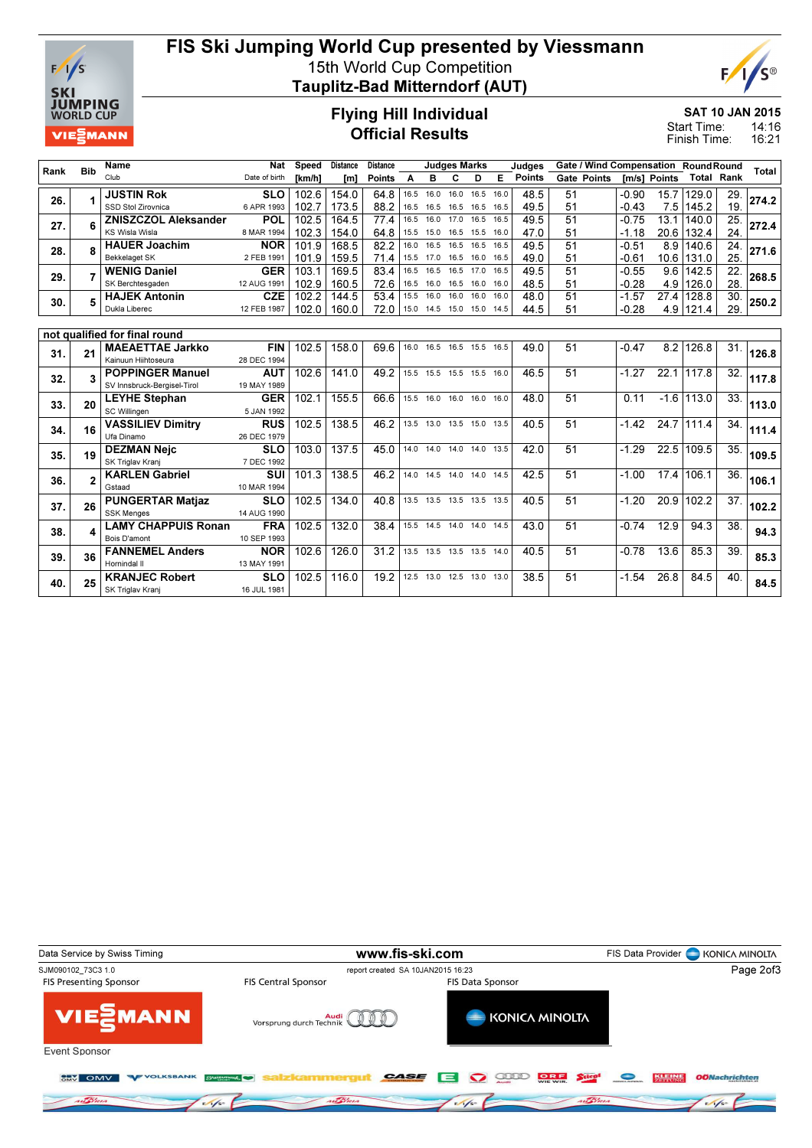

## FIS Ski Jumping World Cup presented by Viessmann 15th World Cup Competition

Tauplitz-Bad Mitterndorf (AUT)



SAT 10 JAN 2015

14:16 16:21 Start Time: Finish Time:

#### Flying Hill Individual Official Results

| Rank | <b>Bib</b> | <b>Name</b>                                  | <b>Nat</b>                | <b>Speed</b> | <b>Distance</b> | <b>Distance</b> |      |                              | <b>Judges Marks</b> |      |      | Judges |    |                    |         |              | Gate / Wind Compensation RoundRound |     | Total |
|------|------------|----------------------------------------------|---------------------------|--------------|-----------------|-----------------|------|------------------------------|---------------------|------|------|--------|----|--------------------|---------|--------------|-------------------------------------|-----|-------|
|      |            | Club                                         | Date of birth             | [km/h]       | [m]             | <b>Points</b>   | A    | в                            | c                   | D    | Е    | Points |    | <b>Gate Points</b> |         | Im/sl Points | <b>Total Rank</b>                   |     |       |
|      | 1          | <b>JUSTIN Rok</b>                            | <b>SLO</b>                | 102.6        | 154.0           | 64.8            | 16.5 | 16.0                         | 16.0                | 16.5 | 16.0 | 48.5   | 51 |                    | $-0.90$ | 15.7         | 129.0                               | 29. |       |
| 26.  |            | SSD Stol Zirovnica                           | 6 APR 1993                | 102.7        | 173.5           | 88.2            | 16.5 | 16.5                         | 16.5                | 16.5 | 16.5 | 49.5   | 51 |                    | $-0.43$ |              | 7.5 145.2                           | 19. | 274.2 |
| 27.  | 6          | <b>ZNISZCZOL Aleksander</b>                  | <b>POL</b>                | 102.5        | 164.5           | 77.4            | 16.5 | 16.0                         | 17.0 16.5           |      | 16.5 | 49.5   | 51 |                    | $-0.75$ | 13.1         | 140.0                               | 25. | 272.4 |
|      |            | <b>KS Wisla Wisla</b>                        | 8 MAR 1994                | 102.3        | 154.0           | 64.8            | 15.5 | 15.0                         | 16.5 15.5           |      | 16.0 | 47.0   | 51 |                    | $-1.18$ |              | 20.6 132.4                          | 24. |       |
| 28.  | 8          | <b>HAUER Joachim</b>                         | <b>NOR</b>                | 101.9        | 168.5           | 82.2            | 16.0 | 16.5                         | 16.5                | 16.5 | 16.5 | 49.5   | 51 |                    | $-0.51$ | 8.9          | 140.6                               | 24. | 271.6 |
|      |            | <b>Bekkelaget SK</b>                         | 2 FEB 1991                | 101.9        | 159.5           | 71.4            | 15.5 | 17.0                         | 16.5 16.0           |      | 16.5 | 49.0   | 51 |                    | $-0.61$ |              | 10.6 131.0                          | 25. |       |
| 29.  | 7          | <b>WENIG Daniel</b>                          | <b>GER</b>                | 103.1        | 169.5           | 83.4            | 16.5 | 16.5                         | 16.5 17.0           |      | 16.5 | 49.5   | 51 |                    | $-0.55$ | 9.6          | 142.5                               | 22. | 268.5 |
|      |            | SK Berchtesgaden                             | 12 AUG 1991               | 102.9        | 160.5           | 72.6            | 16.5 | 16.0                         | 16.5 16.0           |      | 16.0 | 48.5   | 51 |                    | $-0.28$ |              | 4.9 126.0                           | 28. |       |
| 30.  | 5          | <b>HAJEK Antonin</b>                         | <b>CZE</b>                | 102.2        | 144.5           | 53.4            |      | 15.5 16.0                    | 16.0 16.0           |      | 16.0 | 48.0   | 51 |                    | $-1.57$ | 27.4         | 128.8                               | 30. | 250.2 |
|      |            | Dukla Liberec                                | 12 FEB 1987               | 102.0        | 160.0           | 72.0            |      | 15.0 14.5 15.0 15.0 14.5     |                     |      |      | 44.5   | 51 |                    | $-0.28$ |              | 4.9 121.4                           | 29. |       |
|      |            |                                              |                           |              |                 |                 |      |                              |                     |      |      |        |    |                    |         |              |                                     |     |       |
|      |            | not qualified for final round                |                           |              |                 |                 |      |                              |                     |      |      |        |    |                    |         |              |                                     |     |       |
| 31.  | 21         | <b>MAEAETTAE Jarkko</b>                      | <b>FIN</b>                | 102.5        | 158.0           | 69.6            |      | 16.0 16.5 16.5 15.5 16.5     |                     |      |      | 49.0   | 51 |                    | $-0.47$ | 8.2          | 126.8                               | 31. | 126.8 |
|      |            | Kainuun Hiihtoseura                          | 28 DEC 1994               |              |                 |                 |      |                              |                     |      |      |        |    |                    |         |              |                                     |     |       |
| 32.  | 3          | <b>POPPINGER Manuel</b>                      | <b>AUT</b>                | 102.6        | 141.0           | 49.2            |      | 15.5 15.5 15.5 15.5 16.0     |                     |      |      | 46.5   | 51 |                    | $-1.27$ | 22.1         | 117.8                               | 32. | 117.8 |
|      |            | SV Innsbruck-Bergisel-Tirol                  | 19 MAY 1989               |              |                 |                 |      |                              |                     |      |      |        |    |                    |         |              |                                     |     |       |
| 33.  | 20         | <b>LEYHE Stephan</b>                         | <b>GER</b>                | 102.1        | 155.5           | 66.6            |      | 15.5 16.0                    | 16.0 16.0           |      | 16.0 | 48.0   | 51 |                    | 0.11    | $-1.6$       | 113.0                               | 33. | 113.0 |
|      |            | SC Willingen                                 | 5 JAN 1992                |              |                 |                 |      |                              |                     |      |      |        |    |                    |         |              |                                     |     |       |
| 34.  | 16         | <b>VASSILIEV Dimitry</b>                     | <b>RUS</b>                | 102.5        | 138.5           | 46.2            |      | 13.5 13.0 13.5 15.0 13.5     |                     |      |      | 40.5   | 51 |                    | $-1.42$ |              | 24.7 111.4                          | 34. | 111.4 |
|      |            | Ufa Dinamo                                   | 26 DEC 1979               |              |                 |                 |      |                              |                     |      |      |        |    |                    |         |              |                                     |     |       |
| 35.  | 19         | <b>DEZMAN Neic</b>                           | <b>SLO</b>                | 103.0        | 137.5           | 45.0            |      | 14.0 14.0 14.0 14.0 13.5     |                     |      |      | 42.0   | 51 |                    | $-1.29$ | 22.5         | 109.5                               | 35. | 109.5 |
|      |            | SK Triglav Kranj                             | 7 DEC 1992                |              |                 |                 |      |                              |                     |      |      |        |    |                    |         |              |                                     |     |       |
| 36.  | 2          | <b>KARLEN Gabriel</b>                        | SUI                       | 101.3        | 138.5           | 46.2            |      | 14.0  14.5  14.0  14.0  14.5 |                     |      |      | 42.5   | 51 |                    | $-1.00$ | 17.4         | 106.1                               | 36. | 106.1 |
|      |            | Gstaad                                       | 10 MAR 1994<br><b>SLO</b> | 102.5        | 134.0           | 40.8            |      | 13.5 13.5 13.5 13.5 13.5     |                     |      |      | 40.5   | 51 |                    | $-1.20$ |              | 20.9 102.2                          |     |       |
| 37.  | 26         | <b>PUNGERTAR Matjaz</b><br><b>SSK Menges</b> | 14 AUG 1990               |              |                 |                 |      |                              |                     |      |      |        |    |                    |         |              |                                     | 37. | 102.2 |
|      |            | <b>LAMY CHAPPUIS Ronan</b>                   | <b>FRA</b>                | 102.5        | 132.0           | 38.4            |      | 15.5 14.5 14.0 14.0 14.5     |                     |      |      | 43.0   | 51 |                    | $-0.74$ | 12.9         | 94.3                                | 38. |       |
| 38.  | 4          | Bois D'amont                                 | 10 SEP 1993               |              |                 |                 |      |                              |                     |      |      |        |    |                    |         |              |                                     |     | 94.3  |
|      |            | <b>FANNEMEL Anders</b>                       | <b>NOR</b>                | 102.6        | 126.0           | 31.2            |      | 13.5 13.5 13.5 13.5 14.0     |                     |      |      | 40.5   | 51 |                    | $-0.78$ | 13.6         | 85.3                                | 39. |       |
| 39.  | 36         | Hornindal II                                 | 13 MAY 1991               |              |                 |                 |      |                              |                     |      |      |        |    |                    |         |              |                                     |     | 85.3  |
|      |            | <b>KRANJEC Robert</b>                        | <b>SLO</b>                | 102.5        | 116.0           | 19.2            |      | 12.5 13.0 12.5 13.0 13.0     |                     |      |      | 38.5   | 51 |                    | $-1.54$ | 26.8         | 84.5                                | 40. |       |
| 40.  | 25         | SK Triglav Kranj                             | 16 JUL 1981               |              |                 |                 |      |                              |                     |      |      |        |    |                    |         |              |                                     |     | 84.5  |
|      |            |                                              |                           |              |                 |                 |      |                              |                     |      |      |        |    |                    |         |              |                                     |     |       |